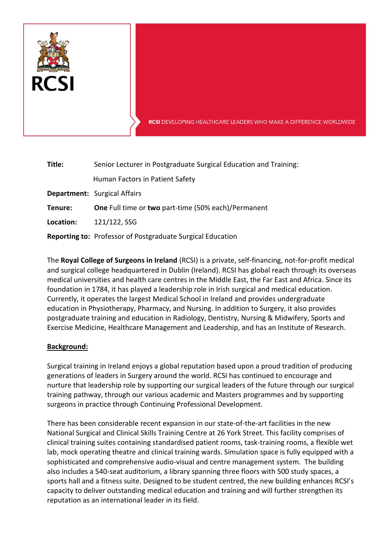

RCSI DEVELOPING HEALTHCARE LEADERS WHO MAKE A DIFFERENCE WORLDWIDE

| Title:    | Senior Lecturer in Postgraduate Surgical Education and Training:  |
|-----------|-------------------------------------------------------------------|
|           | Human Factors in Patient Safety                                   |
|           | <b>Department:</b> Surgical Affairs                               |
| Tenure:   | <b>One</b> Full time or two part-time (50% each)/Permanent        |
| Location: | 121/122, SSG                                                      |
|           | <b>Reporting to: Professor of Postgraduate Surgical Education</b> |

The **Royal College of Surgeons in Ireland** (RCSI) is a private, self-financing, not-for-profit medical and surgical college headquartered in Dublin (Ireland). RCSI has global reach through its overseas medical universities and health care centres in the Middle East, the Far East and Africa. Since its foundation in 1784, it has played a leadership role in Irish surgical and medical education. Currently, it operates the largest Medical School in Ireland and provides undergraduate education in Physiotherapy, Pharmacy, and Nursing. In addition to Surgery, it also provides postgraduate training and education in Radiology, Dentistry, Nursing & Midwifery, Sports and Exercise Medicine, Healthcare Management and Leadership, and has an Institute of Research.

## **Background:**

Surgical training in Ireland enjoys a global reputation based upon a proud tradition of producing generations of leaders in Surgery around the world. RCSI has continued to encourage and nurture that leadership role by supporting our surgical leaders of the future through our surgical training pathway, through our various academic and Masters programmes and by supporting surgeons in practice through Continuing Professional Development.

There has been considerable recent expansion in our state-of-the-art facilities in the new National Surgical and Clinical Skills Training Centre at 26 York Street. This facility comprises of clinical training suites containing standardised patient rooms, task-training rooms, a flexible wet lab, mock operating theatre and clinical training wards. Simulation space is fully equipped with a sophisticated and comprehensive audio-visual and centre management system. The building also includes a 540-seat auditorium, a library spanning three floors with 500 study spaces, a sports hall and a fitness suite. Designed to be student centred, the new building enhances RCSI's capacity to deliver outstanding medical education and training and will further strengthen its reputation as an international leader in its field.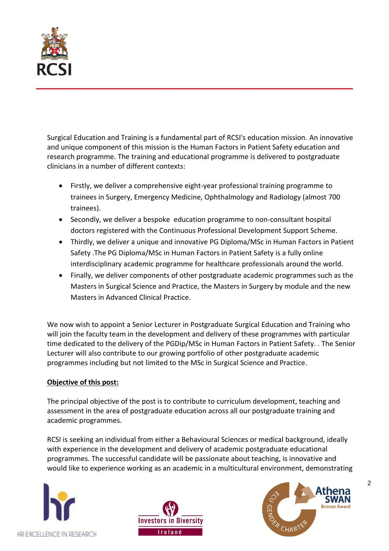

Surgical Education and Training is a fundamental part of RCSI's education mission. An innovative and unique component of this mission is the Human Factors in Patient Safety education and research programme. The training and educational programme is delivered to postgraduate clinicians in a number of different contexts:

- Firstly, we deliver a comprehensive eight-year professional training programme to trainees in Surgery, Emergency Medicine, Ophthalmology and Radiology (almost 700 trainees).
- Secondly, we deliver a bespoke education programme to non-consultant hospital doctors registered with the Continuous Professional Development Support Scheme.
- Thirdly, we deliver a unique and innovative PG Diploma/MSc in Human Factors in Patient Safety .The PG Diploma/MSc in Human Factors in Patient Safety is a fully online interdisciplinary academic programme for healthcare professionals around the world.
- Finally, we deliver components of other postgraduate academic programmes such as the Masters in Surgical Science and Practice, the Masters in Surgery by module and the new Masters in Advanced Clinical Practice.

We now wish to appoint a Senior Lecturer in Postgraduate Surgical Education and Training who will join the faculty team in the development and delivery of these programmes with particular time dedicated to the delivery of the PGDip/MSc in Human Factors in Patient Safety. . The Senior Lecturer will also contribute to our growing portfolio of other postgraduate academic programmes including but not limited to the MSc in Surgical Science and Practice.

## **Objective of this post:**

The principal objective of the post is to contribute to curriculum development, teaching and assessment in the area of postgraduate education across all our postgraduate training and academic programmes.

RCSI is seeking an individual from either a Behavioural Sciences or medical background, ideally with experience in the development and delivery of academic postgraduate educational programmes. The successful candidate will be passionate about teaching, is innovative and would like to experience working as an academic in a multicultural environment, demonstrating







2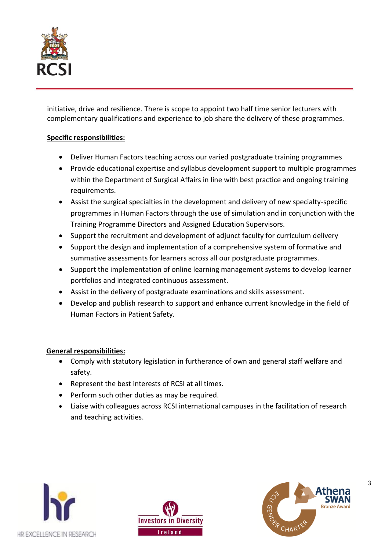

initiative, drive and resilience. There is scope to appoint two half time senior lecturers with complementary qualifications and experience to job share the delivery of these programmes.

# **Specific responsibilities:**

- Deliver Human Factors teaching across our varied postgraduate training programmes
- Provide educational expertise and syllabus development support to multiple programmes within the Department of Surgical Affairs in line with best practice and ongoing training requirements.
- Assist the surgical specialties in the development and delivery of new specialty-specific programmes in Human Factors through the use of simulation and in conjunction with the Training Programme Directors and Assigned Education Supervisors.
- Support the recruitment and development of adjunct faculty for curriculum delivery
- Support the design and implementation of a comprehensive system of formative and summative assessments for learners across all our postgraduate programmes.
- Support the implementation of online learning management systems to develop learner portfolios and integrated continuous assessment.
- Assist in the delivery of postgraduate examinations and skills assessment.
- Develop and publish research to support and enhance current knowledge in the field of Human Factors in Patient Safety.

## **General responsibilities:**

- Comply with statutory legislation in furtherance of own and general staff welfare and safety.
- Represent the best interests of RCSI at all times.
- Perform such other duties as may be required.
- Liaise with colleagues across RCSI international campuses in the facilitation of research and teaching activities.







3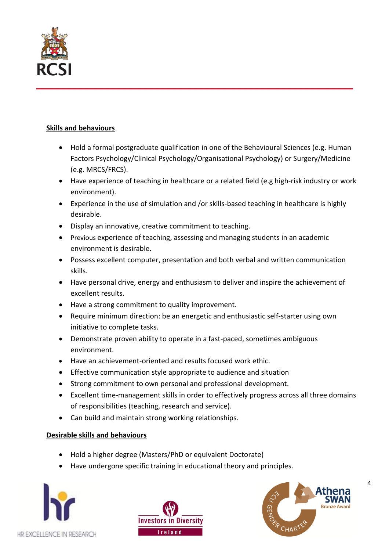

# **Skills and behaviours**

- Hold a formal postgraduate qualification in one of the Behavioural Sciences (e.g. Human Factors Psychology/Clinical Psychology/Organisational Psychology) or Surgery/Medicine (e.g. MRCS/FRCS).
- Have experience of teaching in healthcare or a related field (e.g high-risk industry or work environment).
- Experience in the use of simulation and /or skills-based teaching in healthcare is highly desirable.
- Display an innovative, creative commitment to teaching.
- Previous experience of teaching, assessing and managing students in an academic environment is desirable.
- Possess excellent computer, presentation and both verbal and written communication skills.
- Have personal drive, energy and enthusiasm to deliver and inspire the achievement of excellent results.
- Have a strong commitment to quality improvement.
- Require minimum direction: be an energetic and enthusiastic self-starter using own initiative to complete tasks.
- Demonstrate proven ability to operate in a fast-paced, sometimes ambiguous environment.
- Have an achievement-oriented and results focused work ethic.
- Effective communication style appropriate to audience and situation
- Strong commitment to own personal and professional development.
- Excellent time-management skills in order to effectively progress across all three domains of responsibilities (teaching, research and service).
- Can build and maintain strong working relationships.

## **Desirable skills and behaviours**

- Hold a higher degree (Masters/PhD or equivalent Doctorate)
- Have undergone specific training in educational theory and principles.